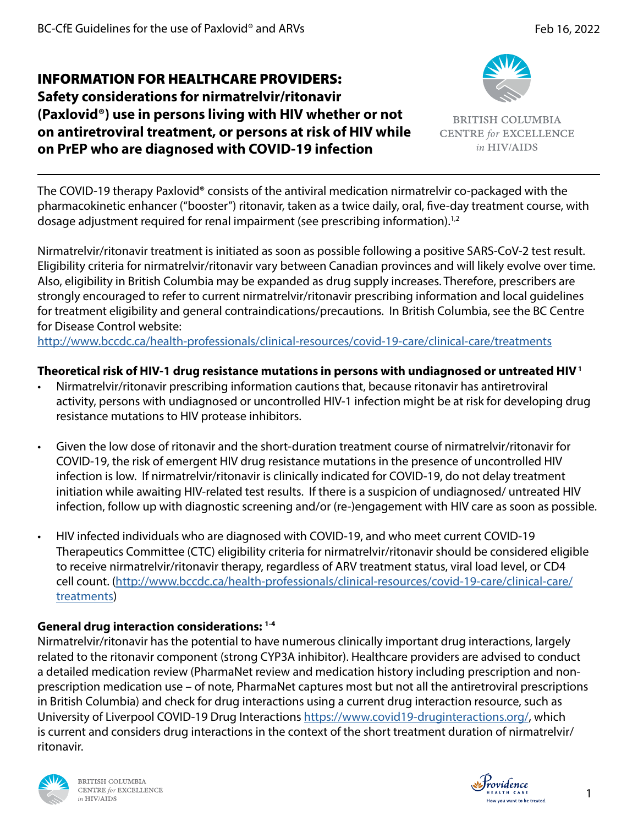**Safety considerations for nirmatrelvir/ritonavir (Paxlovid®) use in persons living with HIV whether or not on antiretroviral treatment, or persons at risk of HIV while on PrEP who are diagnosed with COVID-19 infection**



**BRITISH COLUMBIA CENTRE for EXCELLENCE** in HIV/AIDS

The COVID-19 therapy Paxlovid® consists of the antiviral medication nirmatrelvir co-packaged with the pharmacokinetic enhancer ("booster") ritonavir, taken as a twice daily, oral, five-day treatment course, with dosage adjustment required for renal impairment (see prescribing information).<sup>1,2</sup>

Nirmatrelvir/ritonavir treatment is initiated as soon as possible following a positive SARS-CoV-2 test result. Eligibility criteria for nirmatrelvir/ritonavir vary between Canadian provinces and will likely evolve over time. Also, eligibility in British Columbia may be expanded as drug supply increases. Therefore, prescribers are strongly encouraged to refer to current nirmatrelvir/ritonavir prescribing information and local guidelines for treatment eligibility and general contraindications/precautions. In British Columbia, see the BC Centre for Disease Control website:

<http://www.bccdc.ca/health-professionals/clinical-resources/covid-19-care/clinical-care/treatments>

# **Theoretical risk of HIV-1 drug resistance mutations in persons with undiagnosed or untreated HIV 1**

- Nirmatrelvir/ritonavir prescribing information cautions that, because ritonavir has antiretroviral activity, persons with undiagnosed or uncontrolled HIV-1 infection might be at risk for developing drug resistance mutations to HIV protease inhibitors.
- Given the low dose of ritonavir and the short-duration treatment course of nirmatrelvir/ritonavir for COVID-19, the risk of emergent HIV drug resistance mutations in the presence of uncontrolled HIV infection is low. If nirmatrelvir/ritonavir is clinically indicated for COVID-19, do not delay treatment initiation while awaiting HIV-related test results. If there is a suspicion of undiagnosed/ untreated HIV infection, follow up with diagnostic screening and/or (re-)engagement with HIV care as soon as possible.
- HIV infected individuals who are diagnosed with COVID-19, and who meet current COVID-19 Therapeutics Committee (CTC) eligibility criteria for nirmatrelvir/ritonavir should be considered eligible to receive nirmatrelvir/ritonavir therapy, regardless of ARV treatment status, viral load level, or CD4 cell count. [\(http://www.bccdc.ca/health-professionals/clinical-resources/covid-19-care/clinical-care/](http://www.bccdc.ca/health-professionals/clinical-resources/covid-19-care/clinical-care/treatments) [treatments\)](http://www.bccdc.ca/health-professionals/clinical-resources/covid-19-care/clinical-care/treatments)

# **General drug interaction considerations: 1-4**

Nirmatrelvir/ritonavir has the potential to have numerous clinically important drug interactions, largely related to the ritonavir component (strong CYP3A inhibitor). Healthcare providers are advised to conduct a detailed medication review (PharmaNet review and medication history including prescription and nonprescription medication use – of note, PharmaNet captures most but not all the antiretroviral prescriptions in British Columbia) and check for drug interactions using a current drug interaction resource, such as University of Liverpool COVID-19 Drug Interactions [https://www.covid19-druginteractions.org/,](https://www.covid19-druginteractions.org/) which is current and considers drug interactions in the context of the short treatment duration of nirmatrelvir/ ritonavir.





1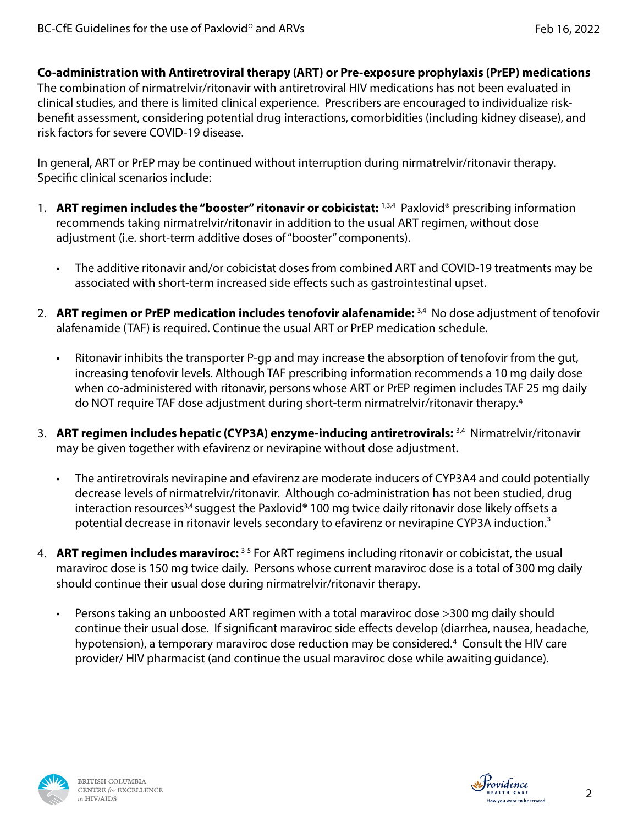### **Co-administration with Antiretroviral therapy (ART) or Pre-exposure prophylaxis (PrEP) medications**

The combination of nirmatrelvir/ritonavir with antiretroviral HIV medications has not been evaluated in clinical studies, and there is limited clinical experience. Prescribers are encouraged to individualize riskbenefit assessment, considering potential drug interactions, comorbidities (including kidney disease), and risk factors for severe COVID-19 disease.

In general, ART or PrEP may be continued without interruption during nirmatrelvir/ritonavir therapy. Specific clinical scenarios include:

- 1. **ART regimen includes the "booster" ritonavir or cobicistat:** 1,3,4 Paxlovid® prescribing information recommends taking nirmatrelvir/ritonavir in addition to the usual ART regimen, without dose adjustment (i.e. short-term additive doses of "booster" components).
	- The additive ritonavir and/or cobicistat doses from combined ART and COVID-19 treatments may be associated with short-term increased side effects such as gastrointestinal upset.
- 2. **ART regimen or PrEP medication includes tenofovir alafenamide:** 3,4 No dose adjustment of tenofovir alafenamide (TAF) is required. Continue the usual ART or PrEP medication schedule.
	- Ritonavir inhibits the transporter P-gp and may increase the absorption of tenofovir from the gut, increasing tenofovir levels. Although TAF prescribing information recommends a 10 mg daily dose when co-administered with ritonavir, persons whose ART or PrEP regimen includes TAF 25 mg daily do NOT require TAF dose adjustment during short-term nirmatrelvir/ritonavir therapy.4
- 3. **ART regimen includes hepatic (CYP3A) enzyme-inducing antiretrovirals:** 3,4 Nirmatrelvir/ritonavir may be given together with efavirenz or nevirapine without dose adjustment.
	- The antiretrovirals nevirapine and efavirenz are moderate inducers of CYP3A4 and could potentially decrease levels of nirmatrelvir/ritonavir. Although co-administration has not been studied, drug interaction resources<sup>3,4</sup> suggest the Paxlovid® 100 mg twice daily ritonavir dose likely offsets a potential decrease in ritonavir levels secondary to efavirenz or nevirapine CYP3A induction.<sup>3</sup>
- 4. **ART regimen includes maraviroc:** 3-5 For ART regimens including ritonavir or cobicistat, the usual maraviroc dose is 150 mg twice daily. Persons whose current maraviroc dose is a total of 300 mg daily should continue their usual dose during nirmatrelvir/ritonavir therapy.
	- Persons taking an unboosted ART regimen with a total maraviroc dose >300 mg daily should continue their usual dose. If significant maraviroc side effects develop (diarrhea, nausea, headache, hypotension), a temporary maraviroc dose reduction may be considered.4 Consult the HIV care provider/ HIV pharmacist (and continue the usual maraviroc dose while awaiting guidance).